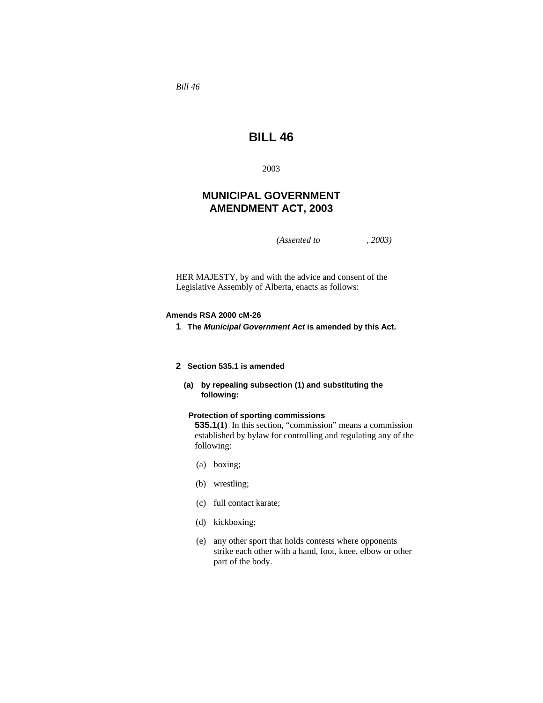*Bill 46* 

# **BILL 46**

2003

# **MUNICIPAL GOVERNMENT AMENDMENT ACT, 2003**

*(Assented to , 2003)* 

HER MAJESTY, by and with the advice and consent of the Legislative Assembly of Alberta, enacts as follows:

### **Amends RSA 2000 cM-26**

**1 The** *Municipal Government Act* **is amended by this Act.**

# **2 Section 535.1 is amended**

 **(a) by repealing subsection (1) and substituting the following:**

# **Protection of sporting commissions**

**535.1(1)** In this section, "commission" means a commission established by bylaw for controlling and regulating any of the following:

- (a) boxing;
- (b) wrestling;
- (c) full contact karate;
- (d) kickboxing;
- (e) any other sport that holds contests where opponents strike each other with a hand, foot, knee, elbow or other part of the body.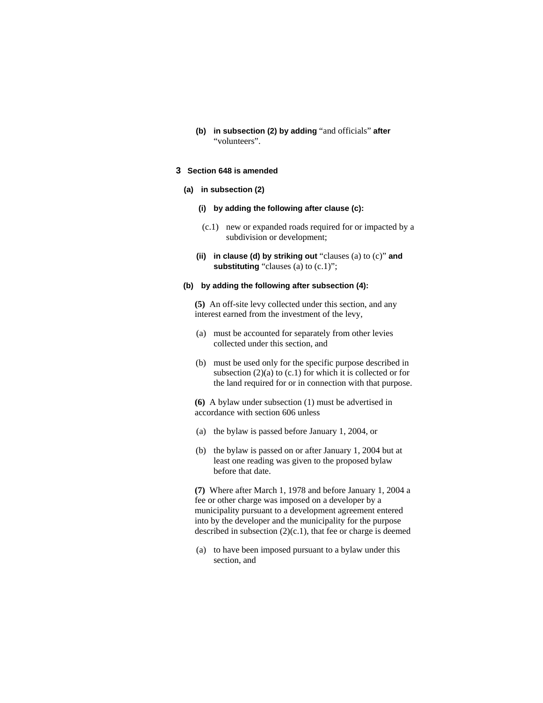**(b) in subsection (2) by adding** "and officials" **after**  "volunteers".

# **3 Section 648 is amended**

#### **(a) in subsection (2)**

- **(i) by adding the following after clause (c):**
- (c.1) new or expanded roads required for or impacted by a subdivision or development;
- **(ii) in clause (d) by striking out** "clauses (a) to (c)" **and substituting** "clauses (a) to (c.1)";

#### **(b) by adding the following after subsection (4):**

**(5)** An off-site levy collected under this section, and any interest earned from the investment of the levy,

- (a) must be accounted for separately from other levies collected under this section, and
- (b) must be used only for the specific purpose described in subsection  $(2)(a)$  to  $(c.1)$  for which it is collected or for the land required for or in connection with that purpose.

**(6)** A bylaw under subsection (1) must be advertised in accordance with section 606 unless

- (a) the bylaw is passed before January 1, 2004, or
- (b) the bylaw is passed on or after January 1, 2004 but at least one reading was given to the proposed bylaw before that date.

**(7)** Where after March 1, 1978 and before January 1, 2004 a fee or other charge was imposed on a developer by a municipality pursuant to a development agreement entered into by the developer and the municipality for the purpose described in subsection  $(2)(c.1)$ , that fee or charge is deemed

 (a) to have been imposed pursuant to a bylaw under this section, and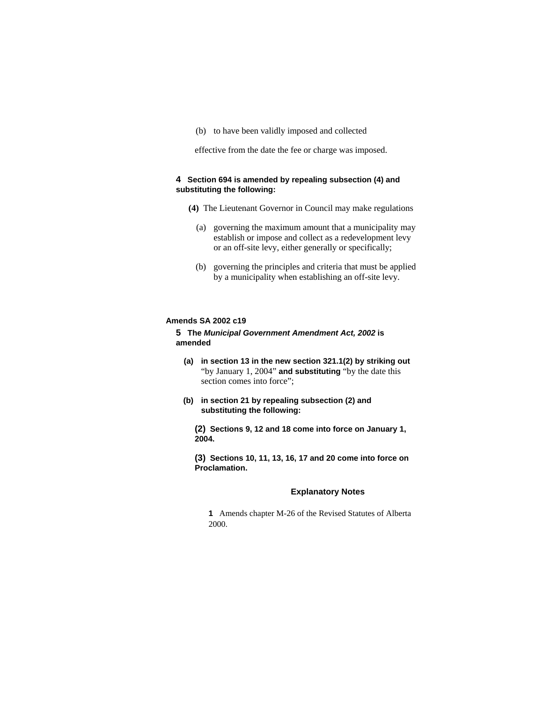(b) to have been validly imposed and collected

effective from the date the fee or charge was imposed.

# **4 Section 694 is amended by repealing subsection (4) and substituting the following:**

- **(4)** The Lieutenant Governor in Council may make regulations
	- (a) governing the maximum amount that a municipality may establish or impose and collect as a redevelopment levy or an off-site levy, either generally or specifically;
	- (b) governing the principles and criteria that must be applied by a municipality when establishing an off-site levy.

#### **Amends SA 2002 c19**

# **5 The** *Municipal Government Amendment Act, 2002* **is amended**

- **(a) in section 13 in the new section 321.1(2) by striking out**  "by January 1, 2004" **and substituting** "by the date this section comes into force";
- **(b) in section 21 by repealing subsection (2) and substituting the following:**

**(2) Sections 9, 12 and 18 come into force on January 1, 2004.**

**(3) Sections 10, 11, 13, 16, 17 and 20 come into force on Proclamation.** 

#### **Explanatory Notes**

**1** Amends chapter M-26 of the Revised Statutes of Alberta 2000.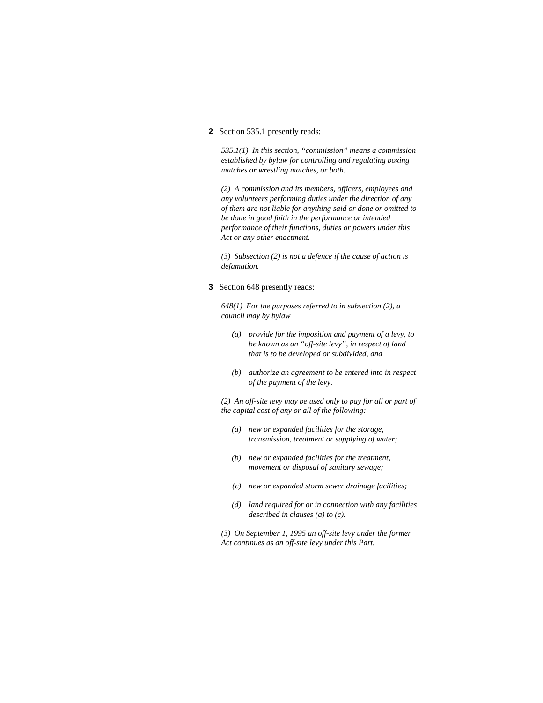#### **2** Section 535.1 presently reads:

*535.1(1) In this section, "commission" means a commission established by bylaw for controlling and regulating boxing matches or wrestling matches, or both.* 

*(2) A commission and its members, officers, employees and any volunteers performing duties under the direction of any of them are not liable for anything said or done or omitted to be done in good faith in the performance or intended performance of their functions, duties or powers under this Act or any other enactment.* 

*(3) Subsection (2) is not a defence if the cause of action is defamation.* 

**3** Section 648 presently reads:

*648(1) For the purposes referred to in subsection (2), a council may by bylaw* 

- *(a) provide for the imposition and payment of a levy, to be known as an "off-site levy", in respect of land that is to be developed or subdivided, and*
- *(b) authorize an agreement to be entered into in respect of the payment of the levy.*

*(2) An off-site levy may be used only to pay for all or part of the capital cost of any or all of the following:* 

- *(a) new or expanded facilities for the storage, transmission, treatment or supplying of water;*
- *(b) new or expanded facilities for the treatment, movement or disposal of sanitary sewage;*
- *(c) new or expanded storm sewer drainage facilities;*
- *(d) land required for or in connection with any facilities described in clauses (a) to (c).*

*(3) On September 1, 1995 an off-site levy under the former Act continues as an off-site levy under this Part.*